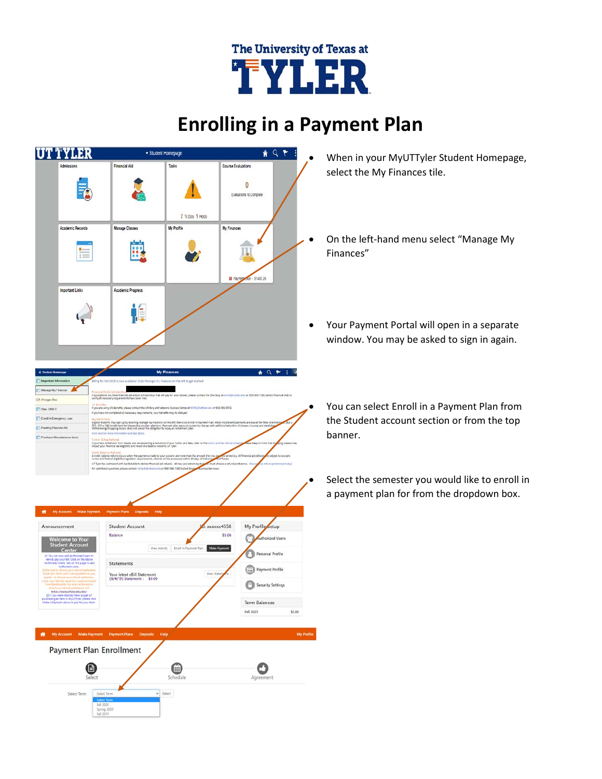## The University of Texas at TYLER

## **Enrolling in a Payment Plan**



- When in your MyUTTyler Student Homepage, select the My Finances tile.
- On the left-hand menu select "Manage My Finances"
- Your Payment Portal will open in a separate window. You may be asked to sign in again.
	- You can select Enroll in a Payment Plan from the Student account section or from the top banner.
	- Select the semester you would like to enroll in a payment plan for from the dropdown box.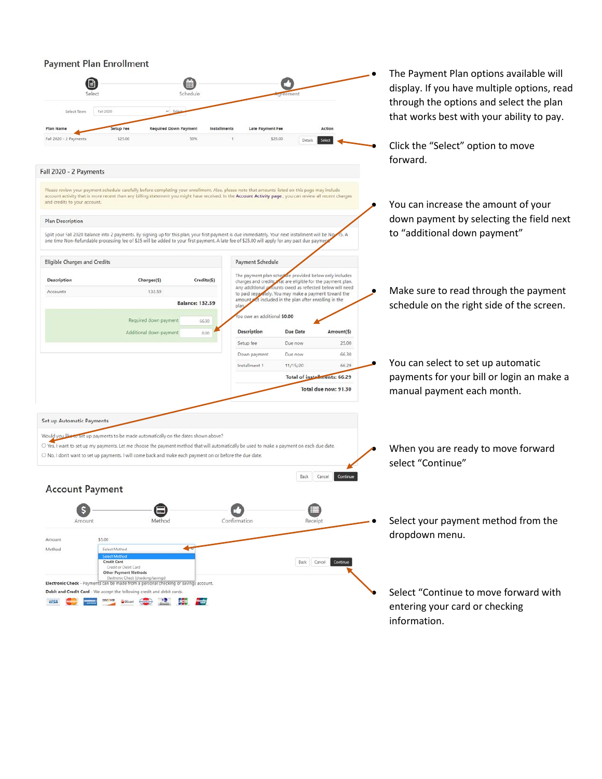## **Payment Plan Enrollment**

|                                       |                                                                                                                                                                                                                                                                                                             |                                      |                                                                                                                       |                      | The Payment Plan options available will<br>display. If you have multiple options, read |  |  |  |
|---------------------------------------|-------------------------------------------------------------------------------------------------------------------------------------------------------------------------------------------------------------------------------------------------------------------------------------------------------------|--------------------------------------|-----------------------------------------------------------------------------------------------------------------------|----------------------|----------------------------------------------------------------------------------------|--|--|--|
| Select<br>Fall 2020<br>Select Term    | Schedule<br>$v$ Se                                                                                                                                                                                                                                                                                          |                                      |                                                                                                                       |                      | through the options and select the plan<br>that works best with your ability to pay.   |  |  |  |
|                                       |                                                                                                                                                                                                                                                                                                             |                                      |                                                                                                                       | Action               |                                                                                        |  |  |  |
| Plan Name<br>Fall 2020 - 2 Payments   | <b>Setup Fee</b><br><b>Required Down Payment</b><br>\$25.00<br>50%                                                                                                                                                                                                                                          | Installments<br>Late Payment Fee     | \$25.00                                                                                                               |                      |                                                                                        |  |  |  |
|                                       |                                                                                                                                                                                                                                                                                                             |                                      | Details                                                                                                               |                      | Click the "Select" option to move<br>forward.                                          |  |  |  |
| Fall 2020 - 2 Payments                |                                                                                                                                                                                                                                                                                                             |                                      |                                                                                                                       |                      |                                                                                        |  |  |  |
| and credits to your account.          | Please review your payment schedule carefully before completing your enrollment. Also, please note that amounts listed on this page may include<br>account activity that is more recent than any billing statement you might have received. In the Account Activity page, you can review all recent charges |                                      |                                                                                                                       |                      | You can increase the amount of your                                                    |  |  |  |
|                                       |                                                                                                                                                                                                                                                                                                             |                                      |                                                                                                                       |                      | down payment by selecting the field next                                               |  |  |  |
| <b>Plan Description</b>               |                                                                                                                                                                                                                                                                                                             |                                      |                                                                                                                       |                      |                                                                                        |  |  |  |
|                                       | Split your Fall 2020 balance into 2 payments. By signing up for this plan, your first payment is due immediately. Your next installment will be Noy<br>one time Non-Refundable processing fee of \$25 will be added to your first payment. A late fee of \$25.00 will apply for any past due payment        |                                      |                                                                                                                       |                      | to "additional down payment"                                                           |  |  |  |
| <b>Eligible Charges and Credits</b>   |                                                                                                                                                                                                                                                                                                             | Payment Schedule                     |                                                                                                                       |                      |                                                                                        |  |  |  |
| <b>Description</b>                    | Charges(\$)                                                                                                                                                                                                                                                                                                 | Credits(\$)                          | The payment plan sched die provided below only includes<br>charges and credits wat are eligible for the payment plan. |                      |                                                                                        |  |  |  |
| Accounts                              | 132.59                                                                                                                                                                                                                                                                                                      | Any additional a                     | ounts owed as reflected below will need<br>to paid separately. You may make a payment toward the                      |                      | Make sure to read through the payment                                                  |  |  |  |
|                                       | <b>Balance: 132.59</b>                                                                                                                                                                                                                                                                                      | plan,                                | amount sot included in the plan after enrolling in the                                                                |                      | schedule on the right side of the screen.                                              |  |  |  |
|                                       | Required down payment                                                                                                                                                                                                                                                                                       | ou owe an additional \$0.00<br>66.30 |                                                                                                                       |                      |                                                                                        |  |  |  |
|                                       | Additional down payment                                                                                                                                                                                                                                                                                     | <b>Description</b><br>0.00           | <b>Due Date</b>                                                                                                       | Amount(\$)           |                                                                                        |  |  |  |
|                                       |                                                                                                                                                                                                                                                                                                             | Setup fee                            | Due now                                                                                                               | 25.00                |                                                                                        |  |  |  |
|                                       |                                                                                                                                                                                                                                                                                                             | Down payment                         | Due now                                                                                                               | 66.30                |                                                                                        |  |  |  |
|                                       |                                                                                                                                                                                                                                                                                                             | Installment 1                        | 11/15/20                                                                                                              | 66.29                | You can select to set up automatic                                                     |  |  |  |
|                                       |                                                                                                                                                                                                                                                                                                             | Total of installments: 66.29         |                                                                                                                       |                      | payments for your bill or login an make a                                              |  |  |  |
|                                       |                                                                                                                                                                                                                                                                                                             |                                      |                                                                                                                       | Total due now: 91.30 | manual payment each month.                                                             |  |  |  |
|                                       |                                                                                                                                                                                                                                                                                                             |                                      |                                                                                                                       |                      |                                                                                        |  |  |  |
| Set up Automatic Payments<br>Would yo | set up payments to be made automatically on the dates shown above?                                                                                                                                                                                                                                          |                                      |                                                                                                                       |                      |                                                                                        |  |  |  |
|                                       | O Yes, I want to set up my payments. Let me choose the payment method that will automatically be used to make a payment on each due date.                                                                                                                                                                   |                                      |                                                                                                                       |                      | When you are ready to move forward                                                     |  |  |  |
|                                       | O No, I don't want to set up payments. I will come back and make each payment on or before the due date.                                                                                                                                                                                                    |                                      |                                                                                                                       |                      | select "Continue"                                                                      |  |  |  |
| <b>Account Payment</b>                |                                                                                                                                                                                                                                                                                                             |                                      | Back                                                                                                                  | Continue<br>Cancel   |                                                                                        |  |  |  |
|                                       |                                                                                                                                                                                                                                                                                                             |                                      |                                                                                                                       |                      |                                                                                        |  |  |  |
|                                       |                                                                                                                                                                                                                                                                                                             |                                      |                                                                                                                       |                      |                                                                                        |  |  |  |
| Amount                                | Method                                                                                                                                                                                                                                                                                                      | Confirmation                         | Receipt                                                                                                               |                      | Select your payment method from the                                                    |  |  |  |
| \$5.00<br>Amount                      |                                                                                                                                                                                                                                                                                                             |                                      |                                                                                                                       |                      | dropdown menu.                                                                         |  |  |  |
| Method                                | Select Method                                                                                                                                                                                                                                                                                               |                                      |                                                                                                                       |                      |                                                                                        |  |  |  |
|                                       | <b>Select Method</b><br><b>Credit Card</b>                                                                                                                                                                                                                                                                  |                                      | Cancel<br>Back                                                                                                        | Continue             |                                                                                        |  |  |  |
|                                       | Credit or Debit Card<br><b>Other Payment Methods</b>                                                                                                                                                                                                                                                        |                                      |                                                                                                                       |                      |                                                                                        |  |  |  |
|                                       | Electronic Check (checking/savings<br>Electronic Check - Payments can be made from a personal checking or savings account.                                                                                                                                                                                  |                                      |                                                                                                                       |                      |                                                                                        |  |  |  |
|                                       | Debit and Credit Card - We accept the following credit and debit cards.                                                                                                                                                                                                                                     |                                      |                                                                                                                       |                      | Select "Continue to move forward with                                                  |  |  |  |
| <b>VISA</b>                           | Gildcard                                                                                                                                                                                                                                                                                                    | <b>Tale</b>                          |                                                                                                                       |                      | entering your card or checking                                                         |  |  |  |
|                                       |                                                                                                                                                                                                                                                                                                             |                                      |                                                                                                                       |                      | information.                                                                           |  |  |  |